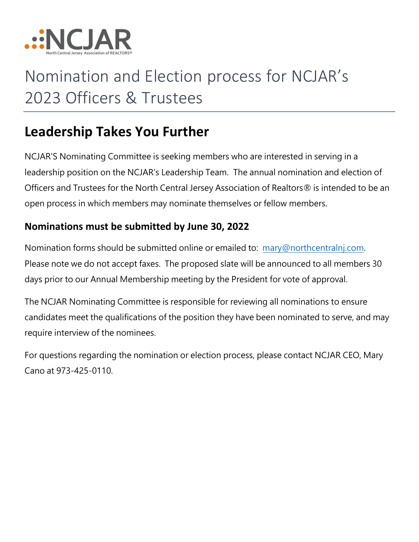

# Nomination and Election process for NCJAR's 2023 Officers & Trustees

#### **Leadership Takes You Further**

NCJAR'S Nominating Committee is seeking members who are interested in serving in a leadership position on the NCJAR's Leadership Team. The annual nomination and election of Officers and Trustees for the North Central Jersey Association of Realtors® is intended to be an open process in which members may nominate themselves or fellow members.

#### **Nominations must be submitted by June 30, 2022**

Nomination forms should be submitted online or emailed to: [mary@northcentralnj.com.](mailto:mary@northcentralnj.com) Please note we do not accept faxes. The proposed slate will be announced to all members 30 days prior to our Annual Membership meeting by the President for vote of approval.

The NCJAR Nominating Committee is responsible for reviewing all nominations to ensure candidates meet the qualifications of the position they have been nominated to serve, and may require interview of the nominees.

For questions regarding the nomination or election process, please contact NCJAR CEO, Mary Cano at 973-425-0110.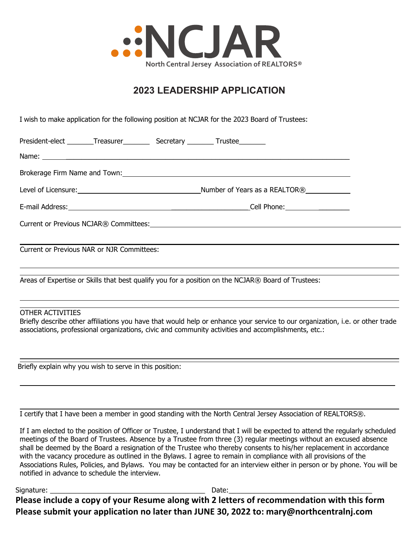

#### **2023 LEADERSHIP APPLICATION**

I wish to make application for the following position at NCJAR for the 2023 Board of Trustees:

| Current or Previous NAR or NJR Committees:                                                         |  |  |  |                                                                                                                                                                                                                                                                                                                                                              |  |
|----------------------------------------------------------------------------------------------------|--|--|--|--------------------------------------------------------------------------------------------------------------------------------------------------------------------------------------------------------------------------------------------------------------------------------------------------------------------------------------------------------------|--|
| Areas of Expertise or Skills that best qualify you for a position on the NCJAR® Board of Trustees: |  |  |  |                                                                                                                                                                                                                                                                                                                                                              |  |
| OTHER ACTIVITIES                                                                                   |  |  |  | <u> 1980 - Andrea Santa Andrea Santa Andrea Santa Andrea Santa Andrea Santa Andrea Santa Andrea Santa Andrea San</u><br>Briefly describe other affiliations you have that would help or enhance your service to our organization, i.e. or other trade<br>associations, professional organizations, civic and community activities and accomplishments, etc.: |  |

Briefly explain why you wish to serve in this position:

I certify that I have been a member in good standing with the North Central Jersey Association of REALTORS®.

If I am elected to the position of Officer or Trustee, I understand that I will be expected to attend the regularly scheduled meetings of the Board of Trustees. Absence by a Trustee from three (3) regular meetings without an excused absence shall be deemed by the Board a resignation of the Trustee who thereby consents to his/her replacement in accordance with the vacancy procedure as outlined in the Bylaws. I agree to remain in compliance with all provisions of the Associations Rules, Policies, and Bylaws. You may be contacted for an interview either in person or by phone. You will be notified in advance to schedule the interview.

Signature: \_\_\_\_\_\_\_\_\_\_\_\_\_\_\_\_\_\_\_\_\_\_\_\_\_\_\_\_\_\_\_\_\_\_\_\_\_\_\_\_ Date:\_\_\_\_\_\_\_\_\_\_\_\_\_\_\_\_\_\_\_\_\_\_\_\_\_\_\_\_\_\_\_\_\_\_\_\_\_ **Please include a copy of your Resume along with 2 letters of recommendation with this form Please submit your application no later than JUNE 30, 2022 to: mary@northcentralnj.com**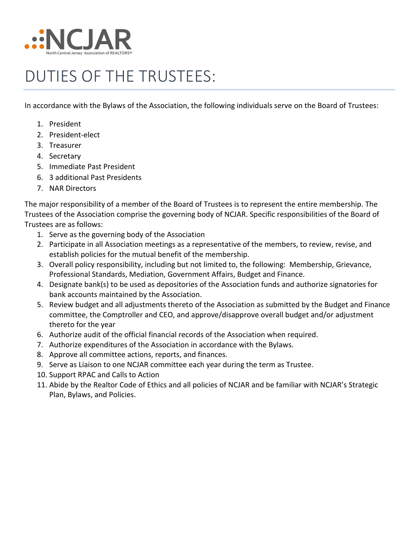

## DUTIES OF THE TRUSTEES:

In accordance with the Bylaws of the Association, the following individuals serve on the Board of Trustees:

- 1. President
- 2. President-elect
- 3. Treasurer
- 4. Secretary
- 5. Immediate Past President
- 6. 3 additional Past Presidents
- 7. NAR Directors

The major responsibility of a member of the Board of Trustees is to represent the entire membership. The Trustees of the Association comprise the governing body of NCJAR. Specific responsibilities of the Board of Trustees are as follows:

- 1. Serve as the governing body of the Association
- 2. Participate in all Association meetings as a representative of the members, to review, revise, and establish policies for the mutual benefit of the membership.
- 3. Overall policy responsibility, including but not limited to, the following: Membership, Grievance, Professional Standards, Mediation, Government Affairs, Budget and Finance.
- 4. Designate bank(s) to be used as depositories of the Association funds and authorize signatories for bank accounts maintained by the Association.
- 5. Review budget and all adjustments thereto of the Association as submitted by the Budget and Finance committee, the Comptroller and CEO, and approve/disapprove overall budget and/or adjustment thereto for the year
- 6. Authorize audit of the official financial records of the Association when required.
- 7. Authorize expenditures of the Association in accordance with the Bylaws.
- 8. Approve all committee actions, reports, and finances.
- 9. Serve as Liaison to one NCJAR committee each year during the term as Trustee.
- 10. Support RPAC and Calls to Action
- 11. Abide by the Realtor Code of Ethics and all policies of NCJAR and be familiar with NCJAR's Strategic Plan, Bylaws, and Policies.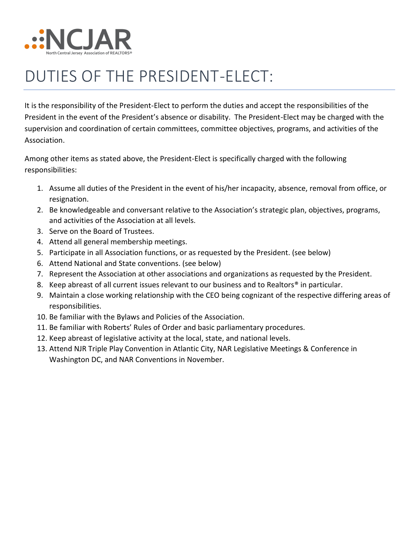

## DUTIES OF THE PRESIDENT-ELECT:

It is the responsibility of the President-Elect to perform the duties and accept the responsibilities of the President in the event of the President's absence or disability. The President-Elect may be charged with the supervision and coordination of certain committees, committee objectives, programs, and activities of the Association.

Among other items as stated above, the President-Elect is specifically charged with the following responsibilities:

- 1. Assume all duties of the President in the event of his/her incapacity, absence, removal from office, or resignation.
- 2. Be knowledgeable and conversant relative to the Association's strategic plan, objectives, programs, and activities of the Association at all levels.
- 3. Serve on the Board of Trustees.
- 4. Attend all general membership meetings.
- 5. Participate in all Association functions, or as requested by the President. (see below)
- 6. Attend National and State conventions. (see below)
- 7. Represent the Association at other associations and organizations as requested by the President.
- 8. Keep abreast of all current issues relevant to our business and to Realtors<sup>®</sup> in particular.
- 9. Maintain a close working relationship with the CEO being cognizant of the respective differing areas of responsibilities.
- 10. Be familiar with the Bylaws and Policies of the Association.
- 11. Be familiar with Roberts' Rules of Order and basic parliamentary procedures.
- 12. Keep abreast of legislative activity at the local, state, and national levels.
- 13. Attend NJR Triple Play Convention in Atlantic City, NAR Legislative Meetings & Conference in Washington DC, and NAR Conventions in November.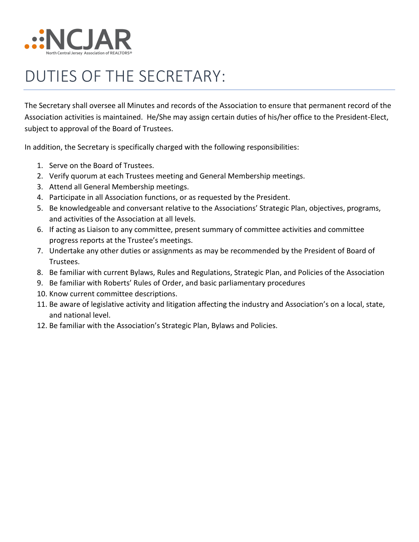

## DUTIES OF THE SECRETARY:

The Secretary shall oversee all Minutes and records of the Association to ensure that permanent record of the Association activities is maintained. He/She may assign certain duties of his/her office to the President-Elect, subject to approval of the Board of Trustees.

In addition, the Secretary is specifically charged with the following responsibilities:

- 1. Serve on the Board of Trustees.
- 2. Verify quorum at each Trustees meeting and General Membership meetings.
- 3. Attend all General Membership meetings.
- 4. Participate in all Association functions, or as requested by the President.
- 5. Be knowledgeable and conversant relative to the Associations' Strategic Plan, objectives, programs, and activities of the Association at all levels.
- 6. If acting as Liaison to any committee, present summary of committee activities and committee progress reports at the Trustee's meetings.
- 7. Undertake any other duties or assignments as may be recommended by the President of Board of Trustees.
- 8. Be familiar with current Bylaws, Rules and Regulations, Strategic Plan, and Policies of the Association
- 9. Be familiar with Roberts' Rules of Order, and basic parliamentary procedures
- 10. Know current committee descriptions.
- 11. Be aware of legislative activity and litigation affecting the industry and Association's on a local, state, and national level.
- 12. Be familiar with the Association's Strategic Plan, Bylaws and Policies.